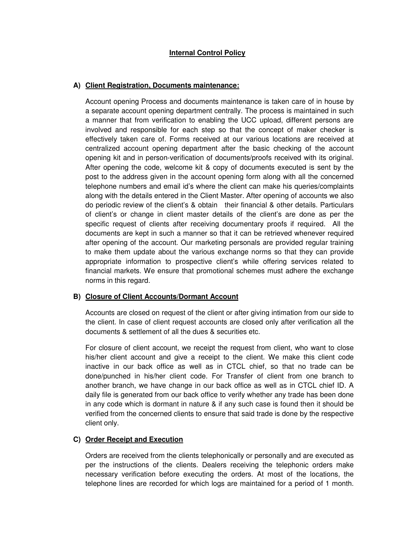## **Internal Control Policy**

### **A) Client Registration, Documents maintenance:**

Account opening Process and documents maintenance is taken care of in house by a separate account opening department centrally. The process is maintained in such a manner that from verification to enabling the UCC upload, different persons are involved and responsible for each step so that the concept of maker checker is effectively taken care of. Forms received at our various locations are received at centralized account opening department after the basic checking of the account opening kit and in person-verification of documents/proofs received with its original. After opening the code, welcome kit & copy of documents executed is sent by the post to the address given in the account opening form along with all the concerned telephone numbers and email id's where the client can make his queries/complaints along with the details entered in the Client Master. After opening of accounts we also do periodic review of the client's & obtain their financial & other details. Particulars of client's or change in client master details of the client's are done as per the specific request of clients after receiving documentary proofs if required. All the documents are kept in such a manner so that it can be retrieved whenever required after opening of the account. Our marketing personals are provided regular training to make them update about the various exchange norms so that they can provide appropriate information to prospective client's while offering services related to financial markets. We ensure that promotional schemes must adhere the exchange norms in this regard.

#### **B) Closure of Client Accounts/Dormant Account**

Accounts are closed on request of the client or after giving intimation from our side to the client. In case of client request accounts are closed only after verification all the documents & settlement of all the dues & securities etc.

For closure of client account, we receipt the request from client, who want to close his/her client account and give a receipt to the client. We make this client code inactive in our back office as well as in CTCL chief, so that no trade can be done/punched in his/her client code. For Transfer of client from one branch to another branch, we have change in our back office as well as in CTCL chief ID. A daily file is generated from our back office to verify whether any trade has been done in any code which is dormant in nature & if any such case is found then it should be verified from the concerned clients to ensure that said trade is done by the respective client only.

#### **C) Order Receipt and Execution**

Orders are received from the clients telephonically or personally and are executed as per the instructions of the clients. Dealers receiving the telephonic orders make necessary verification before executing the orders. At most of the locations, the telephone lines are recorded for which logs are maintained for a period of 1 month.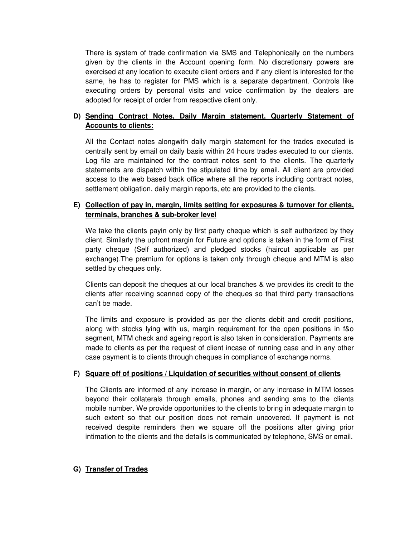There is system of trade confirmation via SMS and Telephonically on the numbers given by the clients in the Account opening form. No discretionary powers are exercised at any location to execute client orders and if any client is interested for the same, he has to register for PMS which is a separate department. Controls like executing orders by personal visits and voice confirmation by the dealers are adopted for receipt of order from respective client only.

# **D) Sending Contract Notes, Daily Margin statement, Quarterly Statement of Accounts to clients:**

All the Contact notes alongwith daily margin statement for the trades executed is centrally sent by email on daily basis within 24 hours trades executed to our clients. Log file are maintained for the contract notes sent to the clients. The quarterly statements are dispatch within the stipulated time by email. All client are provided access to the web based back office where all the reports including contract notes, settlement obligation, daily margin reports, etc are provided to the clients.

# **E) Collection of pay in, margin, limits setting for exposures & turnover for clients, terminals, branches & sub-broker level**

We take the clients payin only by first party cheque which is self authorized by they client. Similarly the upfront margin for Future and options is taken in the form of First party cheque (Self authorized) and pledged stocks (haircut applicable as per exchange).The premium for options is taken only through cheque and MTM is also settled by cheques only.

Clients can deposit the cheques at our local branches & we provides its credit to the clients after receiving scanned copy of the cheques so that third party transactions can't be made.

The limits and exposure is provided as per the clients debit and credit positions, along with stocks lying with us, margin requirement for the open positions in f&o segment, MTM check and ageing report is also taken in consideration. Payments are made to clients as per the request of client incase of running case and in any other case payment is to clients through cheques in compliance of exchange norms.

#### **F) Square off of positions / Liquidation of securities without consent of clients**

The Clients are informed of any increase in margin, or any increase in MTM losses beyond their collaterals through emails, phones and sending sms to the clients mobile number. We provide opportunities to the clients to bring in adequate margin to such extent so that our position does not remain uncovered. If payment is not received despite reminders then we square off the positions after giving prior intimation to the clients and the details is communicated by telephone, SMS or email.

### **G) Transfer of Trades**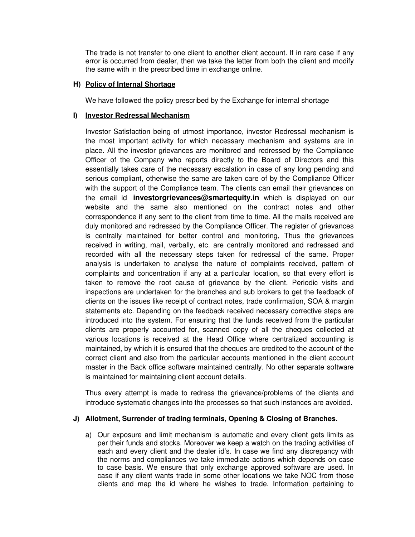The trade is not transfer to one client to another client account. If in rare case if any error is occurred from dealer, then we take the letter from both the client and modify the same with in the prescribed time in exchange online.

#### **H) Policy of Internal Shortage**

We have followed the policy prescribed by the Exchange for internal shortage

#### **I) Investor Redressal Mechanism**

Investor Satisfaction being of utmost importance, investor Redressal mechanism is the most important activity for which necessary mechanism and systems are in place. All the investor grievances are monitored and redressed by the Compliance Officer of the Company who reports directly to the Board of Directors and this essentially takes care of the necessary escalation in case of any long pending and serious compliant, otherwise the same are taken care of by the Compliance Officer with the support of the Compliance team. The clients can email their grievances on the email id **investorgrievances@smartequity.in** which is displayed on our website and the same also mentioned on the contract notes and other correspondence if any sent to the client from time to time. All the mails received are duly monitored and redressed by the Compliance Officer. The register of grievances is centrally maintained for better control and monitoring, Thus the grievances received in writing, mail, verbally, etc. are centrally monitored and redressed and recorded with all the necessary steps taken for redressal of the same. Proper analysis is undertaken to analyse the nature of complaints received, pattern of complaints and concentration if any at a particular location, so that every effort is taken to remove the root cause of grievance by the client. Periodic visits and inspections are undertaken for the branches and sub brokers to get the feedback of clients on the issues like receipt of contract notes, trade confirmation, SOA & margin statements etc. Depending on the feedback received necessary corrective steps are introduced into the system. For ensuring that the funds received from the particular clients are properly accounted for, scanned copy of all the cheques collected at various locations is received at the Head Office where centralized accounting is maintained, by which it is ensured that the cheques are credited to the account of the correct client and also from the particular accounts mentioned in the client account master in the Back office software maintained centrally. No other separate software is maintained for maintaining client account details.

Thus every attempt is made to redress the grievance/problems of the clients and introduce systematic changes into the processes so that such instances are avoided.

#### **J) Allotment, Surrender of trading terminals, Opening & Closing of Branches.**

a) Our exposure and limit mechanism is automatic and every client gets limits as per their funds and stocks. Moreover we keep a watch on the trading activities of each and every client and the dealer id's. In case we find any discrepancy with the norms and compliances we take immediate actions which depends on case to case basis. We ensure that only exchange approved software are used. In case if any client wants trade in some other locations we take NOC from those clients and map the id where he wishes to trade. Information pertaining to